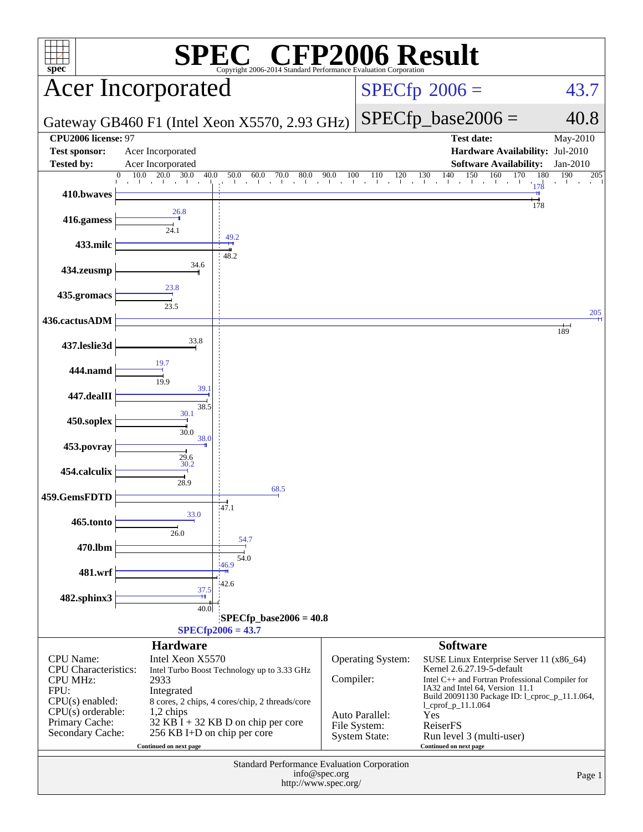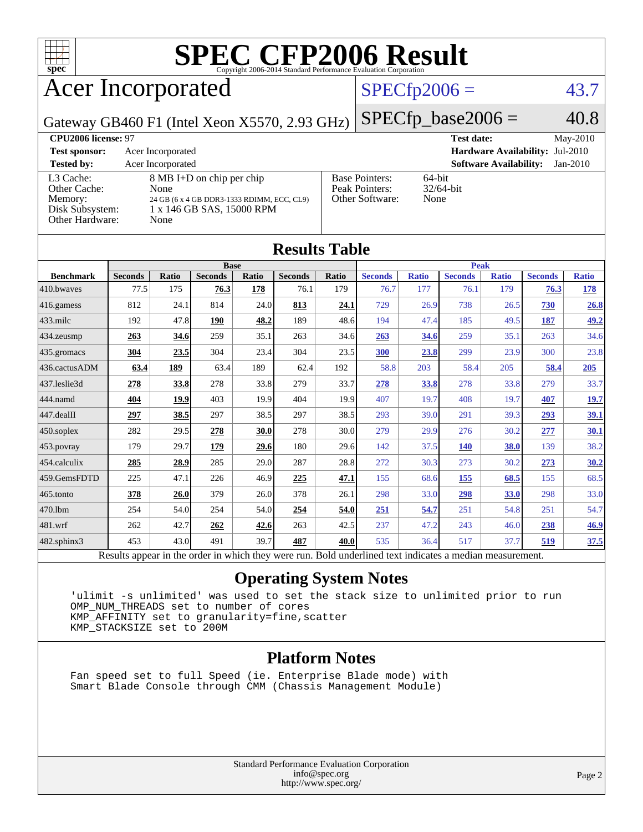

## Acer Incorporated

#### $SPECfp2006 = 43.7$  $SPECfp2006 = 43.7$

Gateway GB460 F1 (Intel Xeon X5570, 2.93 GHz)

 $SPECTp\_base2006 = 40.8$ 

| CPU <sub>2006</sub> license: 97                                            |                                                                                                                      |                                                            | $\text{Mav-}2010$<br><b>Test date:</b>      |
|----------------------------------------------------------------------------|----------------------------------------------------------------------------------------------------------------------|------------------------------------------------------------|---------------------------------------------|
| <b>Test sponsor:</b>                                                       | Acer Incorporated                                                                                                    |                                                            | <b>Hardware Availability: Jul-2010</b>      |
| <b>Tested by:</b>                                                          | Acer Incorporated                                                                                                    |                                                            | <b>Software Availability:</b><br>$Jan-2010$ |
| L3 Cache:<br>Other Cache:<br>Memory:<br>Disk Subsystem:<br>Other Hardware: | 8 MB I+D on chip per chip<br>None<br>24 GB (6 x 4 GB DDR3-1333 RDIMM, ECC, CL9)<br>1 x 146 GB SAS, 15000 RPM<br>None | <b>Base Pointers:</b><br>Peak Pointers:<br>Other Software: | 64-bit<br>$32/64$ -bit<br>None              |

**[Results Table](http://www.spec.org/auto/cpu2006/Docs/result-fields.html#ResultsTable)**

| Results Table    |                                                                                                          |              |                |       |                |       |                |              |                |              |                |              |
|------------------|----------------------------------------------------------------------------------------------------------|--------------|----------------|-------|----------------|-------|----------------|--------------|----------------|--------------|----------------|--------------|
|                  |                                                                                                          |              | <b>Base</b>    |       |                |       | <b>Peak</b>    |              |                |              |                |              |
| <b>Benchmark</b> | <b>Seconds</b>                                                                                           | <b>Ratio</b> | <b>Seconds</b> | Ratio | <b>Seconds</b> | Ratio | <b>Seconds</b> | <b>Ratio</b> | <b>Seconds</b> | <b>Ratio</b> | <b>Seconds</b> | <b>Ratio</b> |
| 410.bwaves       | 77.5                                                                                                     | 175          | 76.3           | 178   | 76.1           | 179   | 76.7           | 177          | 76.1           | 179          | 76.3           | <u>178</u>   |
| 416.gamess       | 812                                                                                                      | 24.1         | 814            | 24.0  | 813            | 24.1  | 729            | 26.9         | 738            | 26.5         | 730            | 26.8         |
| $433$ .milc      | 192                                                                                                      | 47.8         | 190            | 48.2  | 189            | 48.6  | 194            | 47.4         | 185            | 49.5         | 187            | 49.2         |
| 434.zeusmp       | 263                                                                                                      | 34.6         | 259            | 35.1  | 263            | 34.6  | 263            | 34.6         | 259            | 35.1         | 263            | 34.6         |
| 435 gromacs      | 304                                                                                                      | 23.5         | 304            | 23.4  | 304            | 23.5  | 300            | 23.8         | 299            | 23.9         | 300            | 23.8         |
| 436.cactusADM    | 63.4                                                                                                     | 189          | 63.4           | 189   | 62.4           | 192   | 58.8           | 203          | 58.4           | 205          | 58.4           | 205          |
| 437.leslie3d     | 278                                                                                                      | 33.8         | 278            | 33.8  | 279            | 33.7  | 278            | 33.8         | 278            | 33.8         | 279            | 33.7         |
| 444.namd         | 404                                                                                                      | 19.9         | 403            | 19.9  | 404            | 19.9  | 407            | 19.7         | 408            | 19.7         | 407            | 19.7         |
| 447.dealII       | 297                                                                                                      | 38.5         | 297            | 38.5  | 297            | 38.5  | 293            | 39.0         | 291            | 39.3         | 293            | 39.1         |
| $450$ .soplex    | 282                                                                                                      | 29.5         | 278            | 30.0  | 278            | 30.0  | 279            | 29.9         | 276            | 30.2         | 277            | 30.1         |
| 453.povray       | 179                                                                                                      | 29.7         | 179            | 29.6  | 180            | 29.6  | 142            | 37.5         | <b>140</b>     | 38.0         | 139            | 38.2         |
| 454.calculix     | 285                                                                                                      | 28.9         | 285            | 29.0  | 287            | 28.8  | 272            | 30.3         | 273            | 30.2         | 273            | 30.2         |
| 459.GemsFDTD     | 225                                                                                                      | 47.1         | 226            | 46.9  | 225            | 47.1  | 155            | 68.6         | 155            | 68.5         | 155            | 68.5         |
| 465.tonto        | 378                                                                                                      | 26.0         | 379            | 26.0  | 378            | 26.1  | 298            | 33.0         | 298            | 33.0         | 298            | 33.0         |
| 470.1bm          | 254                                                                                                      | 54.0         | 254            | 54.0  | 254            | 54.0  | 251            | 54.7         | 251            | 54.8         | 251            | 54.7         |
| 481.wrf          | 262                                                                                                      | 42.7         | 262            | 42.6  | 263            | 42.5  | 237            | 47.2         | 243            | 46.0         | 238            | 46.9         |
| 482.sphinx3      | 453                                                                                                      | 43.0         | 491            | 39.7  | 487            | 40.0  | 535            | 36.4         | 517            | 37.7         | 519            | 37.5         |
|                  | Results appear in the order in which they were run. Bold underlined text indicates a median measurement. |              |                |       |                |       |                |              |                |              |                |              |

#### **[Operating System Notes](http://www.spec.org/auto/cpu2006/Docs/result-fields.html#OperatingSystemNotes)**

 'ulimit -s unlimited' was used to set the stack size to unlimited prior to run OMP\_NUM\_THREADS set to number of cores KMP\_AFFINITY set to granularity=fine,scatter KMP\_STACKSIZE set to 200M

#### **[Platform Notes](http://www.spec.org/auto/cpu2006/Docs/result-fields.html#PlatformNotes)**

 Fan speed set to full Speed (ie. Enterprise Blade mode) with Smart Blade Console through CMM (Chassis Management Module)

> Standard Performance Evaluation Corporation [info@spec.org](mailto:info@spec.org) <http://www.spec.org/>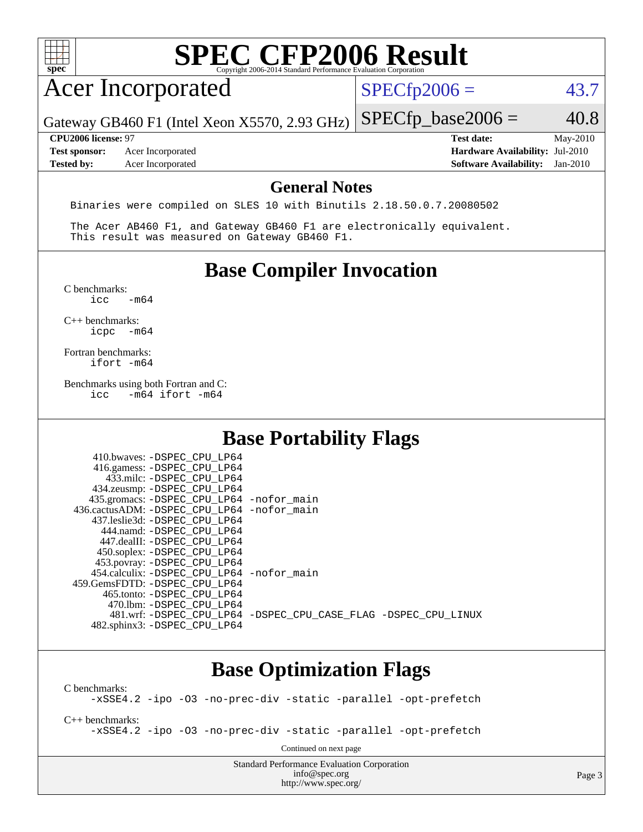## Acer Incorporated

 $SPECTp2006 = 43.7$ 

Gateway GB460 F1 (Intel Xeon X5570, 2.93 GHz)

**[Test sponsor:](http://www.spec.org/auto/cpu2006/Docs/result-fields.html#Testsponsor)** Acer Incorporated **[Hardware Availability:](http://www.spec.org/auto/cpu2006/Docs/result-fields.html#HardwareAvailability)** Jul-2010 **[Tested by:](http://www.spec.org/auto/cpu2006/Docs/result-fields.html#Testedby)** Acer Incorporated **[Software Availability:](http://www.spec.org/auto/cpu2006/Docs/result-fields.html#SoftwareAvailability)** Jan-2010

**[CPU2006 license:](http://www.spec.org/auto/cpu2006/Docs/result-fields.html#CPU2006license)** 97 **[Test date:](http://www.spec.org/auto/cpu2006/Docs/result-fields.html#Testdate)** May-2010

 $SPECTp\_base2006 = 40.8$ 

#### **[General Notes](http://www.spec.org/auto/cpu2006/Docs/result-fields.html#GeneralNotes)**

Binaries were compiled on SLES 10 with Binutils 2.18.50.0.7.20080502

 The Acer AB460 F1, and Gateway GB460 F1 are electronically equivalent. This result was measured on Gateway GB460 F1.

#### **[Base Compiler Invocation](http://www.spec.org/auto/cpu2006/Docs/result-fields.html#BaseCompilerInvocation)**

 $C$  benchmarks:<br>icc  $-m64$ 

[C++ benchmarks:](http://www.spec.org/auto/cpu2006/Docs/result-fields.html#CXXbenchmarks) [icpc -m64](http://www.spec.org/cpu2006/results/res2010q3/cpu2006-20100608-11648.flags.html#user_CXXbase_intel_icpc_64bit_bedb90c1146cab66620883ef4f41a67e)

[Fortran benchmarks](http://www.spec.org/auto/cpu2006/Docs/result-fields.html#Fortranbenchmarks): [ifort -m64](http://www.spec.org/cpu2006/results/res2010q3/cpu2006-20100608-11648.flags.html#user_FCbase_intel_ifort_64bit_ee9d0fb25645d0210d97eb0527dcc06e)

[Benchmarks using both Fortran and C](http://www.spec.org/auto/cpu2006/Docs/result-fields.html#BenchmarksusingbothFortranandC):<br>icc -m64 ifort -m64  $-m64$  ifort  $-m64$ 

#### **[Base Portability Flags](http://www.spec.org/auto/cpu2006/Docs/result-fields.html#BasePortabilityFlags)**

| 410.bwaves: -DSPEC CPU LP64<br>416.gamess: -DSPEC_CPU_LP64<br>433.milc: -DSPEC CPU LP64<br>434.zeusmp: - DSPEC_CPU_LP64<br>435.gromacs: -DSPEC_CPU_LP64 -nofor_main<br>436.cactusADM: - DSPEC CPU LP64 - nofor main<br>437.leslie3d: -DSPEC CPU LP64<br>444.namd: -DSPEC CPU LP64<br>447.dealII: -DSPEC CPU LP64 |                                                                |
|------------------------------------------------------------------------------------------------------------------------------------------------------------------------------------------------------------------------------------------------------------------------------------------------------------------|----------------------------------------------------------------|
| 450.soplex: - DSPEC_CPU_LP64<br>453.povray: -DSPEC_CPU_LP64<br>454.calculix: - DSPEC CPU LP64 - nofor main<br>459. GemsFDTD: - DSPEC CPU LP64<br>465.tonto: -DSPEC CPU LP64                                                                                                                                      |                                                                |
| 470.1bm: - DSPEC CPU LP64<br>482.sphinx3: -DSPEC_CPU_LP64                                                                                                                                                                                                                                                        | 481.wrf: -DSPEC CPU LP64 -DSPEC CPU CASE FLAG -DSPEC CPU LINUX |

#### **[Base Optimization Flags](http://www.spec.org/auto/cpu2006/Docs/result-fields.html#BaseOptimizationFlags)**

[C benchmarks](http://www.spec.org/auto/cpu2006/Docs/result-fields.html#Cbenchmarks): [-xSSE4.2](http://www.spec.org/cpu2006/results/res2010q3/cpu2006-20100608-11648.flags.html#user_CCbase_f-xSSE42_f91528193cf0b216347adb8b939d4107) [-ipo](http://www.spec.org/cpu2006/results/res2010q3/cpu2006-20100608-11648.flags.html#user_CCbase_f-ipo) [-O3](http://www.spec.org/cpu2006/results/res2010q3/cpu2006-20100608-11648.flags.html#user_CCbase_f-O3) [-no-prec-div](http://www.spec.org/cpu2006/results/res2010q3/cpu2006-20100608-11648.flags.html#user_CCbase_f-no-prec-div) [-static](http://www.spec.org/cpu2006/results/res2010q3/cpu2006-20100608-11648.flags.html#user_CCbase_f-static) [-parallel](http://www.spec.org/cpu2006/results/res2010q3/cpu2006-20100608-11648.flags.html#user_CCbase_f-parallel) [-opt-prefetch](http://www.spec.org/cpu2006/results/res2010q3/cpu2006-20100608-11648.flags.html#user_CCbase_f-opt-prefetch) [C++ benchmarks:](http://www.spec.org/auto/cpu2006/Docs/result-fields.html#CXXbenchmarks) [-xSSE4.2](http://www.spec.org/cpu2006/results/res2010q3/cpu2006-20100608-11648.flags.html#user_CXXbase_f-xSSE42_f91528193cf0b216347adb8b939d4107) [-ipo](http://www.spec.org/cpu2006/results/res2010q3/cpu2006-20100608-11648.flags.html#user_CXXbase_f-ipo) [-O3](http://www.spec.org/cpu2006/results/res2010q3/cpu2006-20100608-11648.flags.html#user_CXXbase_f-O3) [-no-prec-div](http://www.spec.org/cpu2006/results/res2010q3/cpu2006-20100608-11648.flags.html#user_CXXbase_f-no-prec-div) [-static](http://www.spec.org/cpu2006/results/res2010q3/cpu2006-20100608-11648.flags.html#user_CXXbase_f-static) [-parallel](http://www.spec.org/cpu2006/results/res2010q3/cpu2006-20100608-11648.flags.html#user_CXXbase_f-parallel) [-opt-prefetch](http://www.spec.org/cpu2006/results/res2010q3/cpu2006-20100608-11648.flags.html#user_CXXbase_f-opt-prefetch) Continued on next page

> Standard Performance Evaluation Corporation [info@spec.org](mailto:info@spec.org) <http://www.spec.org/>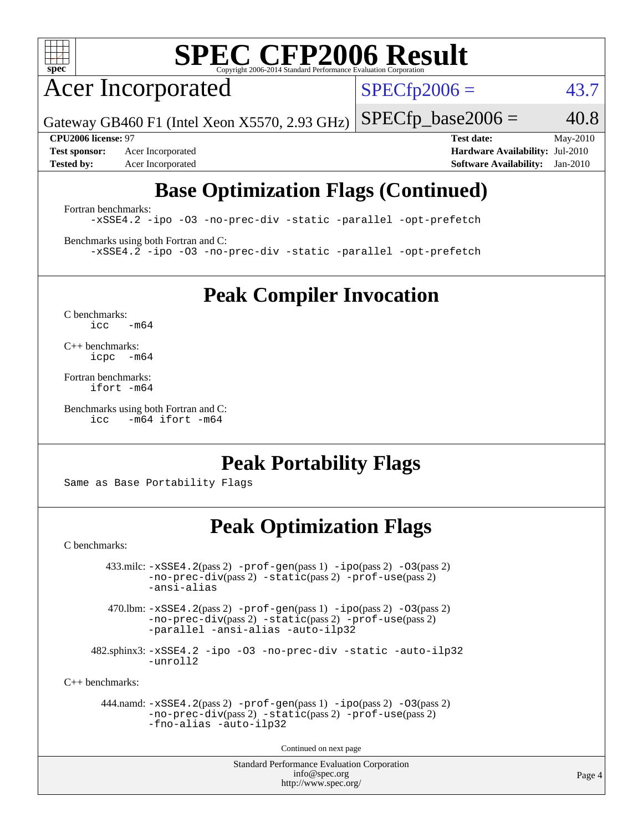

Acer Incorporated

 $SPECfp2006 = 43.7$  $SPECfp2006 = 43.7$ 

Gateway GB460 F1 (Intel Xeon X5570, 2.93 GHz)

 $SPECTp\_base2006 = 40.8$ 

**[Test sponsor:](http://www.spec.org/auto/cpu2006/Docs/result-fields.html#Testsponsor)** Acer Incorporated **[Hardware Availability:](http://www.spec.org/auto/cpu2006/Docs/result-fields.html#HardwareAvailability)** Jul-2010

**[CPU2006 license:](http://www.spec.org/auto/cpu2006/Docs/result-fields.html#CPU2006license)** 97 **[Test date:](http://www.spec.org/auto/cpu2006/Docs/result-fields.html#Testdate)** May-2010 **[Tested by:](http://www.spec.org/auto/cpu2006/Docs/result-fields.html#Testedby)** Acer Incorporated **[Software Availability:](http://www.spec.org/auto/cpu2006/Docs/result-fields.html#SoftwareAvailability)** Jan-2010

## **[Base Optimization Flags \(Continued\)](http://www.spec.org/auto/cpu2006/Docs/result-fields.html#BaseOptimizationFlags)**

[Fortran benchmarks](http://www.spec.org/auto/cpu2006/Docs/result-fields.html#Fortranbenchmarks):

[-xSSE4.2](http://www.spec.org/cpu2006/results/res2010q3/cpu2006-20100608-11648.flags.html#user_FCbase_f-xSSE42_f91528193cf0b216347adb8b939d4107) [-ipo](http://www.spec.org/cpu2006/results/res2010q3/cpu2006-20100608-11648.flags.html#user_FCbase_f-ipo) [-O3](http://www.spec.org/cpu2006/results/res2010q3/cpu2006-20100608-11648.flags.html#user_FCbase_f-O3) [-no-prec-div](http://www.spec.org/cpu2006/results/res2010q3/cpu2006-20100608-11648.flags.html#user_FCbase_f-no-prec-div) [-static](http://www.spec.org/cpu2006/results/res2010q3/cpu2006-20100608-11648.flags.html#user_FCbase_f-static) [-parallel](http://www.spec.org/cpu2006/results/res2010q3/cpu2006-20100608-11648.flags.html#user_FCbase_f-parallel) [-opt-prefetch](http://www.spec.org/cpu2006/results/res2010q3/cpu2006-20100608-11648.flags.html#user_FCbase_f-opt-prefetch)

[Benchmarks using both Fortran and C](http://www.spec.org/auto/cpu2006/Docs/result-fields.html#BenchmarksusingbothFortranandC): [-xSSE4.2](http://www.spec.org/cpu2006/results/res2010q3/cpu2006-20100608-11648.flags.html#user_CC_FCbase_f-xSSE42_f91528193cf0b216347adb8b939d4107) [-ipo](http://www.spec.org/cpu2006/results/res2010q3/cpu2006-20100608-11648.flags.html#user_CC_FCbase_f-ipo) [-O3](http://www.spec.org/cpu2006/results/res2010q3/cpu2006-20100608-11648.flags.html#user_CC_FCbase_f-O3) [-no-prec-div](http://www.spec.org/cpu2006/results/res2010q3/cpu2006-20100608-11648.flags.html#user_CC_FCbase_f-no-prec-div) [-static](http://www.spec.org/cpu2006/results/res2010q3/cpu2006-20100608-11648.flags.html#user_CC_FCbase_f-static) [-parallel](http://www.spec.org/cpu2006/results/res2010q3/cpu2006-20100608-11648.flags.html#user_CC_FCbase_f-parallel) [-opt-prefetch](http://www.spec.org/cpu2006/results/res2010q3/cpu2006-20100608-11648.flags.html#user_CC_FCbase_f-opt-prefetch)

**[Peak Compiler Invocation](http://www.spec.org/auto/cpu2006/Docs/result-fields.html#PeakCompilerInvocation)**

[C benchmarks](http://www.spec.org/auto/cpu2006/Docs/result-fields.html#Cbenchmarks):  $i<sub>c</sub>$   $-m64$ 

[C++ benchmarks:](http://www.spec.org/auto/cpu2006/Docs/result-fields.html#CXXbenchmarks) [icpc -m64](http://www.spec.org/cpu2006/results/res2010q3/cpu2006-20100608-11648.flags.html#user_CXXpeak_intel_icpc_64bit_bedb90c1146cab66620883ef4f41a67e)

[Fortran benchmarks](http://www.spec.org/auto/cpu2006/Docs/result-fields.html#Fortranbenchmarks): [ifort -m64](http://www.spec.org/cpu2006/results/res2010q3/cpu2006-20100608-11648.flags.html#user_FCpeak_intel_ifort_64bit_ee9d0fb25645d0210d97eb0527dcc06e)

[Benchmarks using both Fortran and C](http://www.spec.org/auto/cpu2006/Docs/result-fields.html#BenchmarksusingbothFortranandC): [icc -m64](http://www.spec.org/cpu2006/results/res2010q3/cpu2006-20100608-11648.flags.html#user_CC_FCpeak_intel_icc_64bit_0b7121f5ab7cfabee23d88897260401c) [ifort -m64](http://www.spec.org/cpu2006/results/res2010q3/cpu2006-20100608-11648.flags.html#user_CC_FCpeak_intel_ifort_64bit_ee9d0fb25645d0210d97eb0527dcc06e)

### **[Peak Portability Flags](http://www.spec.org/auto/cpu2006/Docs/result-fields.html#PeakPortabilityFlags)**

Same as Base Portability Flags

### **[Peak Optimization Flags](http://www.spec.org/auto/cpu2006/Docs/result-fields.html#PeakOptimizationFlags)**

[C benchmarks](http://www.spec.org/auto/cpu2006/Docs/result-fields.html#Cbenchmarks):

 $433.\text{mile: } -x\text{SSE4}.2(\text{pass 2}) -\text{prof-gen}(\text{pass 1}) - \text{ipo}(\text{pass 2}) -\text{O3}(\text{pass 2})$ [-no-prec-div](http://www.spec.org/cpu2006/results/res2010q3/cpu2006-20100608-11648.flags.html#user_peakPASS2_CFLAGSPASS2_LDFLAGS433_milc_f-no-prec-div)(pass 2) [-static](http://www.spec.org/cpu2006/results/res2010q3/cpu2006-20100608-11648.flags.html#user_peakPASS2_CFLAGSPASS2_LDFLAGS433_milc_f-static)(pass 2) [-prof-use](http://www.spec.org/cpu2006/results/res2010q3/cpu2006-20100608-11648.flags.html#user_peakPASS2_CFLAGSPASS2_LDFLAGS433_milc_prof_use_bccf7792157ff70d64e32fe3e1250b55)(pass 2) [-ansi-alias](http://www.spec.org/cpu2006/results/res2010q3/cpu2006-20100608-11648.flags.html#user_peakOPTIMIZE433_milc_f-ansi-alias)

470.lbm:  $-xSSE4$ . 2(pass 2)  $-prof-gen(pass 1) -ipo(pass 2) -O3(pass 2)$  $-prof-gen(pass 1) -ipo(pass 2) -O3(pass 2)$  $-prof-gen(pass 1) -ipo(pass 2) -O3(pass 2)$  $-prof-gen(pass 1) -ipo(pass 2) -O3(pass 2)$  $-prof-gen(pass 1) -ipo(pass 2) -O3(pass 2)$  $-prof-gen(pass 1) -ipo(pass 2) -O3(pass 2)$ [-no-prec-div](http://www.spec.org/cpu2006/results/res2010q3/cpu2006-20100608-11648.flags.html#user_peakPASS2_CFLAGSPASS2_LDFLAGS470_lbm_f-no-prec-div)(pass 2) [-static](http://www.spec.org/cpu2006/results/res2010q3/cpu2006-20100608-11648.flags.html#user_peakPASS2_CFLAGSPASS2_LDFLAGS470_lbm_f-static)(pass 2) [-prof-use](http://www.spec.org/cpu2006/results/res2010q3/cpu2006-20100608-11648.flags.html#user_peakPASS2_CFLAGSPASS2_LDFLAGS470_lbm_prof_use_bccf7792157ff70d64e32fe3e1250b55)(pass 2) [-parallel](http://www.spec.org/cpu2006/results/res2010q3/cpu2006-20100608-11648.flags.html#user_peakOPTIMIZE470_lbm_f-parallel) [-ansi-alias](http://www.spec.org/cpu2006/results/res2010q3/cpu2006-20100608-11648.flags.html#user_peakOPTIMIZE470_lbm_f-ansi-alias) [-auto-ilp32](http://www.spec.org/cpu2006/results/res2010q3/cpu2006-20100608-11648.flags.html#user_peakCOPTIMIZE470_lbm_f-auto-ilp32)

 482.sphinx3: [-xSSE4.2](http://www.spec.org/cpu2006/results/res2010q3/cpu2006-20100608-11648.flags.html#user_peakOPTIMIZE482_sphinx3_f-xSSE42_f91528193cf0b216347adb8b939d4107) [-ipo](http://www.spec.org/cpu2006/results/res2010q3/cpu2006-20100608-11648.flags.html#user_peakOPTIMIZE482_sphinx3_f-ipo) [-O3](http://www.spec.org/cpu2006/results/res2010q3/cpu2006-20100608-11648.flags.html#user_peakOPTIMIZE482_sphinx3_f-O3) [-no-prec-div](http://www.spec.org/cpu2006/results/res2010q3/cpu2006-20100608-11648.flags.html#user_peakOPTIMIZE482_sphinx3_f-no-prec-div) [-static](http://www.spec.org/cpu2006/results/res2010q3/cpu2006-20100608-11648.flags.html#user_peakOPTIMIZE482_sphinx3_f-static) [-auto-ilp32](http://www.spec.org/cpu2006/results/res2010q3/cpu2006-20100608-11648.flags.html#user_peakCOPTIMIZE482_sphinx3_f-auto-ilp32) [-unroll2](http://www.spec.org/cpu2006/results/res2010q3/cpu2006-20100608-11648.flags.html#user_peakCOPTIMIZE482_sphinx3_f-unroll_784dae83bebfb236979b41d2422d7ec2)

[C++ benchmarks:](http://www.spec.org/auto/cpu2006/Docs/result-fields.html#CXXbenchmarks)

 444.namd: [-xSSE4.2](http://www.spec.org/cpu2006/results/res2010q3/cpu2006-20100608-11648.flags.html#user_peakPASS2_CXXFLAGSPASS2_LDFLAGS444_namd_f-xSSE42_f91528193cf0b216347adb8b939d4107)(pass 2) [-prof-gen](http://www.spec.org/cpu2006/results/res2010q3/cpu2006-20100608-11648.flags.html#user_peakPASS1_CXXFLAGSPASS1_LDFLAGS444_namd_prof_gen_e43856698f6ca7b7e442dfd80e94a8fc)(pass 1) [-ipo](http://www.spec.org/cpu2006/results/res2010q3/cpu2006-20100608-11648.flags.html#user_peakPASS2_CXXFLAGSPASS2_LDFLAGS444_namd_f-ipo)(pass 2) [-O3](http://www.spec.org/cpu2006/results/res2010q3/cpu2006-20100608-11648.flags.html#user_peakPASS2_CXXFLAGSPASS2_LDFLAGS444_namd_f-O3)(pass 2) [-no-prec-div](http://www.spec.org/cpu2006/results/res2010q3/cpu2006-20100608-11648.flags.html#user_peakPASS2_CXXFLAGSPASS2_LDFLAGS444_namd_f-no-prec-div)(pass 2) [-static](http://www.spec.org/cpu2006/results/res2010q3/cpu2006-20100608-11648.flags.html#user_peakPASS2_CXXFLAGSPASS2_LDFLAGS444_namd_f-static)(pass 2) [-prof-use](http://www.spec.org/cpu2006/results/res2010q3/cpu2006-20100608-11648.flags.html#user_peakPASS2_CXXFLAGSPASS2_LDFLAGS444_namd_prof_use_bccf7792157ff70d64e32fe3e1250b55)(pass 2) [-fno-alias](http://www.spec.org/cpu2006/results/res2010q3/cpu2006-20100608-11648.flags.html#user_peakOPTIMIZE444_namd_f-no-alias_694e77f6c5a51e658e82ccff53a9e63a) [-auto-ilp32](http://www.spec.org/cpu2006/results/res2010q3/cpu2006-20100608-11648.flags.html#user_peakCXXOPTIMIZE444_namd_f-auto-ilp32)

Continued on next page

Standard Performance Evaluation Corporation [info@spec.org](mailto:info@spec.org) <http://www.spec.org/>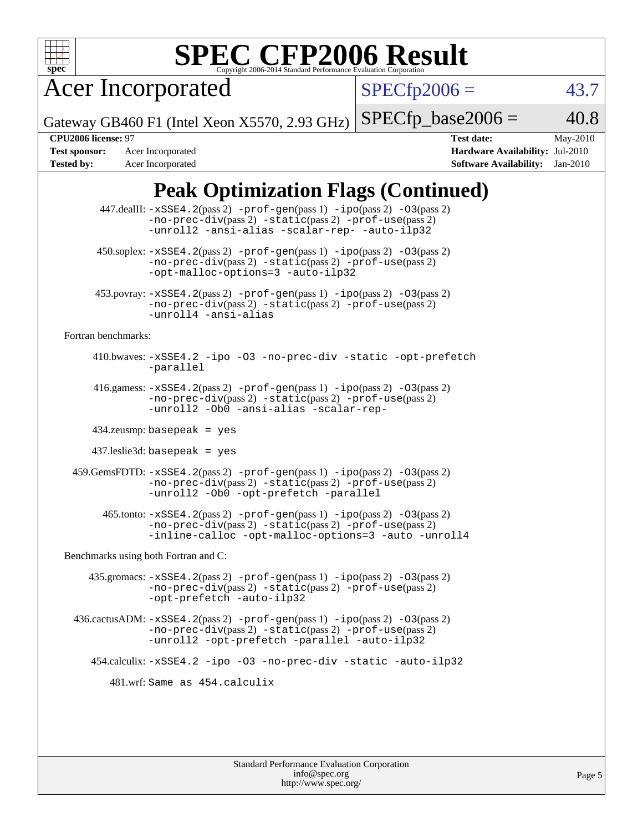

Acer Incorporated

 $SPECfp2006 = 43.7$  $SPECfp2006 = 43.7$ 

Gateway GB460 F1 (Intel Xeon X5570, 2.93 GHz)  $SPECTp\_base2006 = 40.8$ 

**[Tested by:](http://www.spec.org/auto/cpu2006/Docs/result-fields.html#Testedby)** Acer Incorporated **[Software Availability:](http://www.spec.org/auto/cpu2006/Docs/result-fields.html#SoftwareAvailability)** Jan-2010

**[CPU2006 license:](http://www.spec.org/auto/cpu2006/Docs/result-fields.html#CPU2006license)** 97 **[Test date:](http://www.spec.org/auto/cpu2006/Docs/result-fields.html#Testdate)** May-2010 **[Test sponsor:](http://www.spec.org/auto/cpu2006/Docs/result-fields.html#Testsponsor)** Acer Incorporated **[Hardware Availability:](http://www.spec.org/auto/cpu2006/Docs/result-fields.html#HardwareAvailability)** Jul-2010

## **[Peak Optimization Flags \(Continued\)](http://www.spec.org/auto/cpu2006/Docs/result-fields.html#PeakOptimizationFlags)**

|                                      | 447.dealII: -xSSE4.2(pass 2) -prof-gen(pass 1) -ipo(pass 2) -03(pass 2)<br>$-no-prec-div(pass 2) -static(pass 2) -prof-use(pass 2)$<br>-unroll2 -ansi-alias -scalar-rep- -auto-ilp32                                               |
|--------------------------------------|------------------------------------------------------------------------------------------------------------------------------------------------------------------------------------------------------------------------------------|
|                                      | $450.\text{soplex: } -x\text{SSE4}.2(\text{pass 2}) -\text{prof-gen}(\text{pass 1}) - \text{ipo}(\text{pass 2}) -03(\text{pass 2})$<br>-no-prec-div(pass 2) -static(pass 2) -prof-use(pass 2)<br>-opt-malloc-options=3 -auto-ilp32 |
|                                      | 453.povray: -xSSE4.2(pass 2) -prof-gen(pass 1) -ipo(pass 2) -03(pass 2)<br>-no-prec-div(pass 2) -static(pass 2) -prof-use(pass 2)<br>-unroll4 -ansi-alias                                                                          |
| Fortran benchmarks:                  |                                                                                                                                                                                                                                    |
|                                      | 410.bwaves: -xSSE4.2 -ipo -03 -no-prec-div -static -opt-prefetch<br>-parallel                                                                                                                                                      |
|                                      | 416.gamess: $-xSSE4$ . 2(pass 2) $-prof-gen(pass 1) -ipo(pass 2) -O3(pass 2)$<br>-no-prec-div(pass 2) -static(pass 2) -prof-use(pass 2)<br>-unroll2 - Ob0 -ansi-alias -scalar-rep-                                                 |
|                                      | $434$ .zeusmp: basepeak = yes                                                                                                                                                                                                      |
|                                      | $437$ .leslie3d: basepeak = yes                                                                                                                                                                                                    |
|                                      | 459.GemsFDTD: -xSSE4.2(pass 2) -prof-gen(pass 1) -ipo(pass 2) -03(pass 2)<br>$-no-prec-div(pass 2) -static(pass 2) -prof-use(pass 2)$<br>-unroll2 -Ob0 -opt-prefetch -parallel                                                     |
|                                      | $465$ .tonto: $-xSSE4$ . $2(pass 2)$ -prof-gen $(pass 1)$ -ipo $(pass 2)$ -03 $(pass 2)$<br>-no-prec-div(pass 2) -static(pass 2) -prof-use(pass 2)<br>-inline-calloc -opt-malloc-options=3 -auto -unroll4                          |
| Benchmarks using both Fortran and C: |                                                                                                                                                                                                                                    |
|                                      | $435$ .gromacs: $-xSSE4$ . 2(pass 2) $-prof-gen(pass 1) -ipo(pass 2) -03(pass 2)$<br>-no-prec-div(pass 2) -static(pass 2) -prof-use(pass 2)<br>-opt-prefetch -auto-ilp32                                                           |
|                                      | $436.cactusADM: -xSSE4.2(pass 2) -prof-gen(pass 1) -ipo(pass 2) -03(pass 2)$<br>$-no-prec-div(pass 2) -static(pass 2) -prof-use(pass 2)$<br>-unroll2 -opt-prefetch -parallel -auto-ilp32                                           |
|                                      | 454.calculix: -xSSE4.2 -ipo -03 -no-prec-div -static -auto-ilp32                                                                                                                                                                   |
|                                      | 481.wrf: Same as 454.calculix                                                                                                                                                                                                      |
|                                      |                                                                                                                                                                                                                                    |
|                                      |                                                                                                                                                                                                                                    |